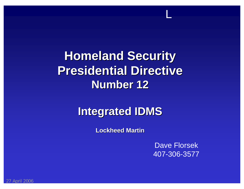# **Homeland Security Homeland Security Presidential Directive Presidential DirectiveNumber 12 Number 12**

## **Integrated IDMS Integrated IDMS**

**Lockheed Martin Lockheed Martin**

Dave Florsek 407-306-3577

L

27 April 2006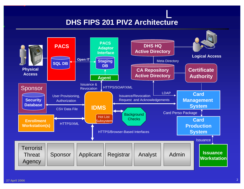#### **DHS FIPS 201 PIV2 Architecture**

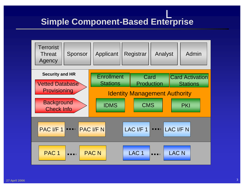#### L**Simple Component-Based Enterprise**

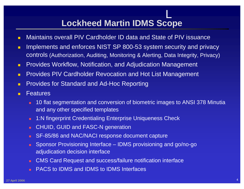## **Lockheed Martin IDMS Scope**

- п Maintains overall PIV Cardholder ID data and State of PIV issuance
- п Implements and enforces NIST SP 800-53 system security and privacy controls (Authorization, Auditing, Monitoring & Alerting, Data Integrity, Privacy)
- $\blacksquare$ Provides Workflow, Notification, and Adjudication Management
- П Provides PIV Cardholder Revocation and Hot List Management
- $\blacksquare$ Provides for Standard and Ad-Hoc Reporting
- п **Features** 
	- 10 flat segmentation and conversion of biometric images to ANSI 378 Minutia and any other specified templates
	- $\mathbf{m}$ 1:N fingerprint Credentialing Enterprise Uniqueness Check
	- $\mathbf{m}$ CHUID, GUID and FASC-N generation
	- m. SF-85/86 and NAC/NACI response document capture
	- $\mathbf{m}$  . Sponsor Provisioning Interface – IDMS provisioning and go/no-go adjudication decision interface
	- $\mathbf{m}$  . CMS Card Request and success/failure notification interface
	- $\mathbf{H}^{\prime}$ PACS to IDMS and IDMS to IDMS Interfaces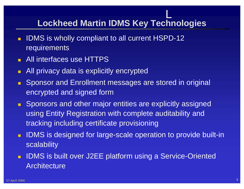## **Lockheed Martin IDMS Key Technologies**

- $\blacksquare$ IDMS is wholly compliant to all current HSPD-12 requirements
- **All interfaces use HTTPS**
- п All privacy data is explicitly encrypted
- $\blacksquare$  Sponsor and Enrollment messages are stored in original encrypted and signed form
- **Sponsors and other major entities are explicitly assigned** using Entity Registration with complete auditability and tracking including certificate provisioning
- $\blacksquare$  IDMS is designed for large-scale operation to provide built-in scalability
- **IDMS** is built over J2EE platform using a Service-Oriented **Architecture**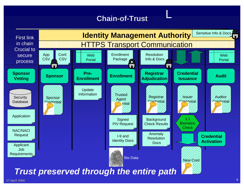### **Chain-of-Trust**

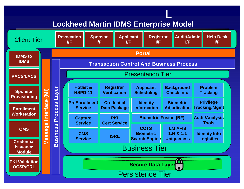#### **Lockheed Martin IDMS Enterprise Model**

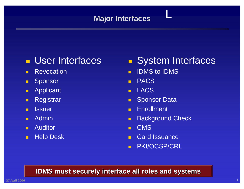#### **Major Interfaces**

## **L** User Interfaces

- $\blacksquare$ Revocation
- п Sponsor
- $\blacksquare$ Applicant
- п **Registrar**
- $\blacksquare$ **Issuer**
- $\blacksquare$ Admin
- п Auditor
- $\blacksquare$ Help Desk

#### **System Interfaces**

L

- $\blacksquare$ IDMS to IDMS
- $\blacksquare$ PACS
- п LACS
- $\blacksquare$ Sponsor Data
- $\blacksquare$ Enrollment
- $\blacksquare$ Background Check
- $\blacksquare$ CMS
- $\blacksquare$ Card Issuance
- m. PKI/OCSP/CRL

#### **IDMS must securely interface all roles and systems IDMS must securely interface all roles and systems**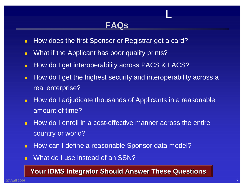### **FAQs**

L

- $\blacksquare$ How does the first Sponsor or Registrar get a card?
- п What if the Applicant has poor quality prints?
- $\blacksquare$ How do I get interoperability across PACS & LACS?
- $\blacksquare$  How do I get the highest security and interoperability across a real enterprise?
- m. How do I adjudicate thousands of Applicants in a reasonable amount of time?
- $\blacksquare$  How do I enroll in a cost-effective manner across the entire country or world?
- $\blacksquare$ How can I define a reasonable Sponsor data model?
- $\blacksquare$ What do I use instead of an SSN?

#### **Your IDMS Integrator Should Answer These Questions Your IDMS Integrator Should Answer These Questions**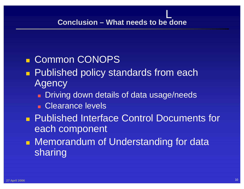L

## ■ Common CONOPS

- **Service Service Published policy standards from each Agency** 
	- **Driving down details of data usage/needs**
	- **Clearance levels**
- **Published Interface Control Documents for** each component
- **Nemorandum of Understanding for data** sharing